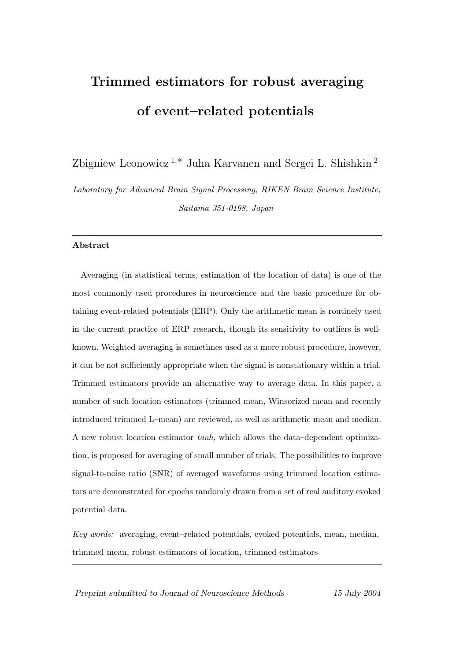# Trimmed estimators for robust averaging of event–related potentials

Zbigniew Leonowicz  $1,*$  Juha Karvanen and Sergei L. Shishkin  $^2$ 

Laboratory for Advanced Brain Signal Processing, RIKEN Brain Science Institute, Saitama 351-0198, Japan

### Abstract

Averaging (in statistical terms, estimation of the location of data) is one of the most commonly used procedures in neuroscience and the basic procedure for obtaining event-related potentials (ERP). Only the arithmetic mean is routinely used in the current practice of ERP research, though its sensitivity to outliers is wellknown. Weighted averaging is sometimes used as a more robust procedure, however, it can be not sufficiently appropriate when the signal is nonstationary within a trial. Trimmed estimators provide an alternative way to average data. In this paper, a number of such location estimators (trimmed mean, Winsorized mean and recently introduced trimmed L–mean) are reviewed, as well as arithmetic mean and median. A new robust location estimator tanh, which allows the data–dependent optimization, is proposed for averaging of small number of trials. The possibilities to improve signal-to-noise ratio (SNR) of averaged waveforms using trimmed location estimators are demonstrated for epochs randomly drawn from a set of real auditory evoked potential data.

Key words: averaging, event–related potentials, evoked potentials, mean, median, trimmed mean, robust estimators of location, trimmed estimators

Preprint submitted to Journal of Neuroscience Methods 15 July 2004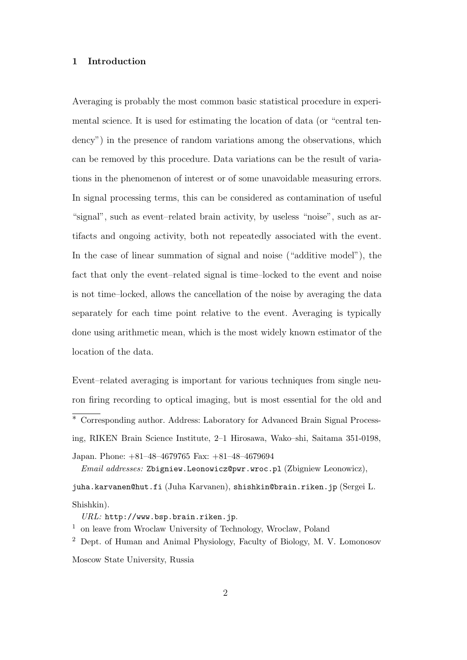## 1 Introduction

Averaging is probably the most common basic statistical procedure in experimental science. It is used for estimating the location of data (or "central tendency") in the presence of random variations among the observations, which can be removed by this procedure. Data variations can be the result of variations in the phenomenon of interest or of some unavoidable measuring errors. In signal processing terms, this can be considered as contamination of useful "signal", such as event–related brain activity, by useless "noise", such as artifacts and ongoing activity, both not repeatedly associated with the event. In the case of linear summation of signal and noise ("additive model"), the fact that only the event–related signal is time–locked to the event and noise is not time–locked, allows the cancellation of the noise by averaging the data separately for each time point relative to the event. Averaging is typically done using arithmetic mean, which is the most widely known estimator of the location of the data.

Event–related averaging is important for various techniques from single neuron firing recording to optical imaging, but is most essential for the old and <sup>∗</sup> Corresponding author. Address: Laboratory for Advanced Brain Signal Processing, RIKEN Brain Science Institute, 2–1 Hirosawa, Wako–shi, Saitama 351-0198, Japan. Phone: +81–48–4679765 Fax: +81–48–4679694

juha.karvanen@hut.fi (Juha Karvanen), shishkin@brain.riken.jp (Sergei L. Shishkin).

URL: http://www.bsp.brain.riken.jp.

<sup>2</sup> Dept. of Human and Animal Physiology, Faculty of Biology, M. V. Lomonosov

Moscow State University, Russia

Email addresses: Zbigniew.Leonowicz@pwr.wroc.pl (Zbigniew Leonowicz),

<sup>1</sup> on leave from Wroclaw University of Technology, Wroclaw, Poland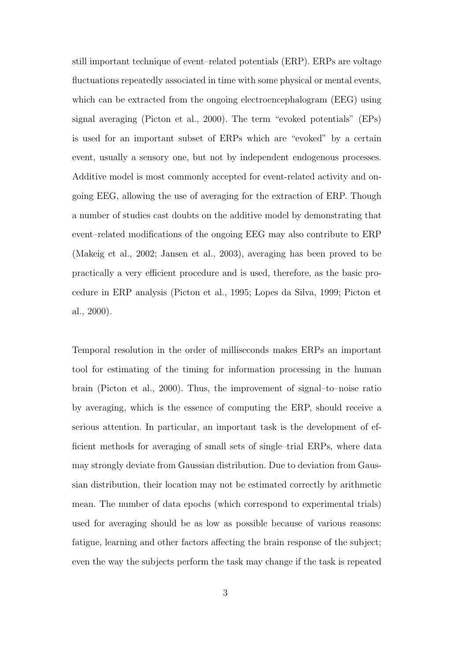still important technique of event–related potentials (ERP). ERPs are voltage fluctuations repeatedly associated in time with some physical or mental events, which can be extracted from the ongoing electroencephalogram (EEG) using signal averaging (Picton et al., 2000). The term "evoked potentials" (EPs) is used for an important subset of ERPs which are "evoked" by a certain event, usually a sensory one, but not by independent endogenous processes. Additive model is most commonly accepted for event-related activity and ongoing EEG, allowing the use of averaging for the extraction of ERP. Though a number of studies cast doubts on the additive model by demonstrating that event–related modifications of the ongoing EEG may also contribute to ERP (Makeig et al., 2002; Jansen et al., 2003), averaging has been proved to be practically a very efficient procedure and is used, therefore, as the basic procedure in ERP analysis (Picton et al., 1995; Lopes da Silva, 1999; Picton et al., 2000).

Temporal resolution in the order of milliseconds makes ERPs an important tool for estimating of the timing for information processing in the human brain (Picton et al., 2000). Thus, the improvement of signal–to–noise ratio by averaging, which is the essence of computing the ERP, should receive a serious attention. In particular, an important task is the development of efficient methods for averaging of small sets of single–trial ERPs, where data may strongly deviate from Gaussian distribution. Due to deviation from Gaussian distribution, their location may not be estimated correctly by arithmetic mean. The number of data epochs (which correspond to experimental trials) used for averaging should be as low as possible because of various reasons: fatigue, learning and other factors affecting the brain response of the subject; even the way the subjects perform the task may change if the task is repeated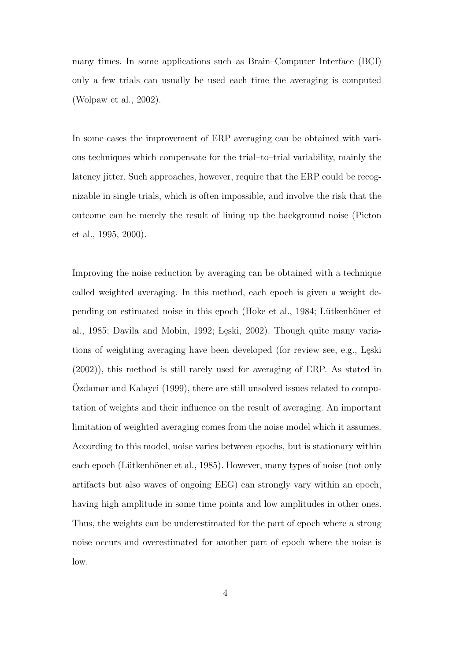many times. In some applications such as Brain–Computer Interface (BCI) only a few trials can usually be used each time the averaging is computed (Wolpaw et al., 2002).

In some cases the improvement of ERP averaging can be obtained with various techniques which compensate for the trial–to–trial variability, mainly the latency jitter. Such approaches, however, require that the ERP could be recognizable in single trials, which is often impossible, and involve the risk that the outcome can be merely the result of lining up the background noise (Picton et al., 1995, 2000).

Improving the noise reduction by averaging can be obtained with a technique called weighted averaging. In this method, each epoch is given a weight depending on estimated noise in this epoch (Hoke et al., 1984; Lütkenhöner et al., 1985; Davila and Mobin, 1992; Leski, 2002). Though quite many variations of weighting averaging have been developed (for review see, e.g., Leski (2002)), this method is still rarely used for averaging of ERP. As stated in Ozdamar and Kalayci (1999), there are still unsolved issues related to computation of weights and their influence on the result of averaging. An important limitation of weighted averaging comes from the noise model which it assumes. According to this model, noise varies between epochs, but is stationary within each epoch (Lütkenhöner et al., 1985). However, many types of noise (not only artifacts but also waves of ongoing EEG) can strongly vary within an epoch, having high amplitude in some time points and low amplitudes in other ones. Thus, the weights can be underestimated for the part of epoch where a strong noise occurs and overestimated for another part of epoch where the noise is low.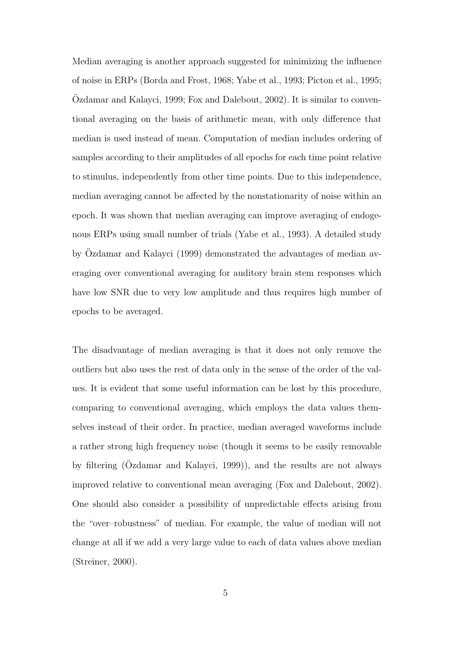Median averaging is another approach suggested for minimizing the influence of noise in ERPs (Borda and Frost, 1968; Yabe et al., 1993; Picton et al., 1995;  $\Omega$ damar and Kalayci, 1999; Fox and Dalebout, 2002). It is similar to conventional averaging on the basis of arithmetic mean, with only difference that median is used instead of mean. Computation of median includes ordering of samples according to their amplitudes of all epochs for each time point relative to stimulus, independently from other time points. Due to this independence, median averaging cannot be affected by the nonstationarity of noise within an epoch. It was shown that median averaging can improve averaging of endogenous ERPs using small number of trials (Yabe et al., 1993). A detailed study by Özdamar and Kalayci (1999) demonstrated the advantages of median averaging over conventional averaging for auditory brain stem responses which have low SNR due to very low amplitude and thus requires high number of epochs to be averaged.

The disadvantage of median averaging is that it does not only remove the outliers but also uses the rest of data only in the sense of the order of the values. It is evident that some useful information can be lost by this procedure, comparing to conventional averaging, which employs the data values themselves instead of their order. In practice, median averaged waveforms include a rather strong high frequency noise (though it seems to be easily removable by filtering  $(Ozdamar$  and Kalayci, 1999)), and the results are not always improved relative to conventional mean averaging (Fox and Dalebout, 2002). One should also consider a possibility of unpredictable effects arising from the "over–robustness" of median. For example, the value of median will not change at all if we add a very large value to each of data values above median (Streiner, 2000).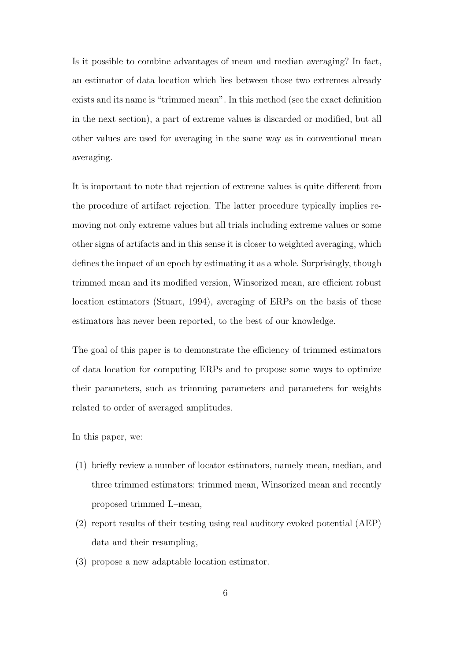Is it possible to combine advantages of mean and median averaging? In fact, an estimator of data location which lies between those two extremes already exists and its name is "trimmed mean". In this method (see the exact definition in the next section), a part of extreme values is discarded or modified, but all other values are used for averaging in the same way as in conventional mean averaging.

It is important to note that rejection of extreme values is quite different from the procedure of artifact rejection. The latter procedure typically implies removing not only extreme values but all trials including extreme values or some other signs of artifacts and in this sense it is closer to weighted averaging, which defines the impact of an epoch by estimating it as a whole. Surprisingly, though trimmed mean and its modified version, Winsorized mean, are efficient robust location estimators (Stuart, 1994), averaging of ERPs on the basis of these estimators has never been reported, to the best of our knowledge.

The goal of this paper is to demonstrate the efficiency of trimmed estimators of data location for computing ERPs and to propose some ways to optimize their parameters, such as trimming parameters and parameters for weights related to order of averaged amplitudes.

In this paper, we:

- (1) briefly review a number of locator estimators, namely mean, median, and three trimmed estimators: trimmed mean, Winsorized mean and recently proposed trimmed L–mean,
- (2) report results of their testing using real auditory evoked potential (AEP) data and their resampling,
- (3) propose a new adaptable location estimator.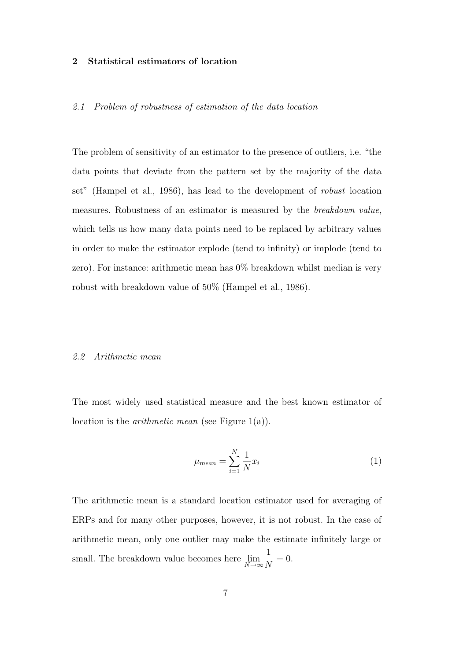# 2 Statistical estimators of location

## 2.1 Problem of robustness of estimation of the data location

The problem of sensitivity of an estimator to the presence of outliers, i.e. "the data points that deviate from the pattern set by the majority of the data set" (Hampel et al., 1986), has lead to the development of robust location measures. Robustness of an estimator is measured by the breakdown value, which tells us how many data points need to be replaced by arbitrary values in order to make the estimator explode (tend to infinity) or implode (tend to zero). For instance: arithmetic mean has 0% breakdown whilst median is very robust with breakdown value of 50% (Hampel et al., 1986).

# 2.2 Arithmetic mean

The most widely used statistical measure and the best known estimator of location is the *arithmetic mean* (see Figure  $1(a)$ ).

$$
\mu_{mean} = \sum_{i=1}^{N} \frac{1}{N} x_i \tag{1}
$$

The arithmetic mean is a standard location estimator used for averaging of ERPs and for many other purposes, however, it is not robust. In the case of arithmetic mean, only one outlier may make the estimate infinitely large or small. The breakdown value becomes here  $\lim_{N\to\infty}$ 1  $\frac{1}{N} = 0.$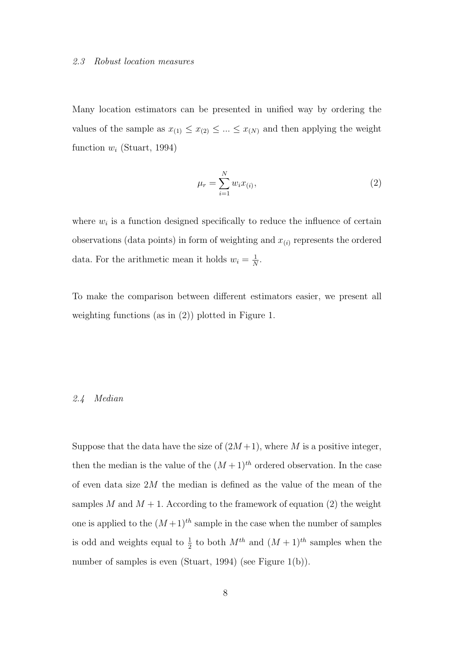#### 2.3 Robust location measures

Many location estimators can be presented in unified way by ordering the values of the sample as  $x_{(1)} \leq x_{(2)} \leq ... \leq x_{(N)}$  and then applying the weight function  $w_i$  (Stuart, 1994)

$$
\mu_r = \sum_{i=1}^{N} w_i x_{(i)},
$$
\n(2)

where  $w_i$  is a function designed specifically to reduce the influence of certain observations (data points) in form of weighting and  $x_{(i)}$  represents the ordered data. For the arithmetic mean it holds  $w_i = \frac{1}{N}$  $\frac{1}{N}$ .

To make the comparison between different estimators easier, we present all weighting functions (as in (2)) plotted in Figure 1.

# 2.4 Median

Suppose that the data have the size of  $(2M+1)$ , where M is a positive integer, then the median is the value of the  $(M+1)^{th}$  ordered observation. In the case of even data size 2M the median is defined as the value of the mean of the samples M and  $M + 1$ . According to the framework of equation (2) the weight one is applied to the  $(M+1)^{th}$  sample in the case when the number of samples is odd and weights equal to  $\frac{1}{2}$  to both  $M^{th}$  and  $(M + 1)^{th}$  samples when the number of samples is even (Stuart, 1994) (see Figure 1(b)).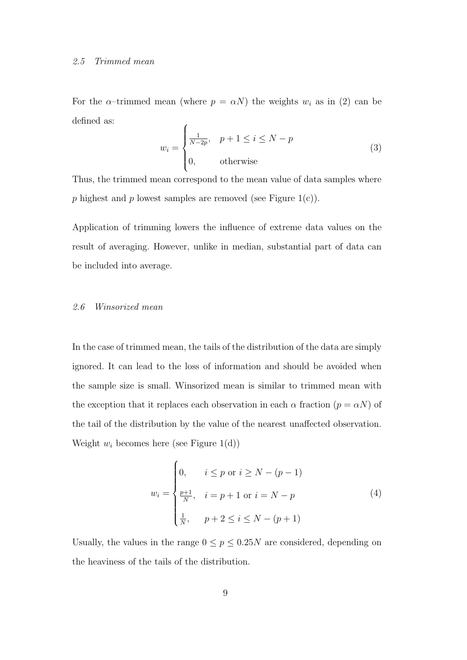#### 2.5 Trimmed mean

For the  $\alpha$ -trimmed mean (where  $p = \alpha N$ ) the weights  $w_i$  as in (2) can be defined as:

$$
w_i = \begin{cases} \frac{1}{N-2p}, & p+1 \le i \le N-p\\ 0, & \text{otherwise} \end{cases}
$$
 (3)

Thus, the trimmed mean correspond to the mean value of data samples where p highest and p lowest samples are removed (see Figure 1(c)).

Application of trimming lowers the influence of extreme data values on the result of averaging. However, unlike in median, substantial part of data can be included into average.

# 2.6 Winsorized mean

In the case of trimmed mean, the tails of the distribution of the data are simply ignored. It can lead to the loss of information and should be avoided when the sample size is small. Winsorized mean is similar to trimmed mean with the exception that it replaces each observation in each  $\alpha$  fraction  $(p = \alpha N)$  of the tail of the distribution by the value of the nearest unaffected observation. Weight  $w_i$  becomes here (see Figure 1(d))

$$
w_{i} = \begin{cases} 0, & i \leq p \text{ or } i \geq N - (p - 1) \\ \frac{p + 1}{N}, & i = p + 1 \text{ or } i = N - p \\ \frac{1}{N}, & p + 2 \leq i \leq N - (p + 1) \end{cases}
$$
(4)

Usually, the values in the range  $0 \le p \le 0.25N$  are considered, depending on the heaviness of the tails of the distribution.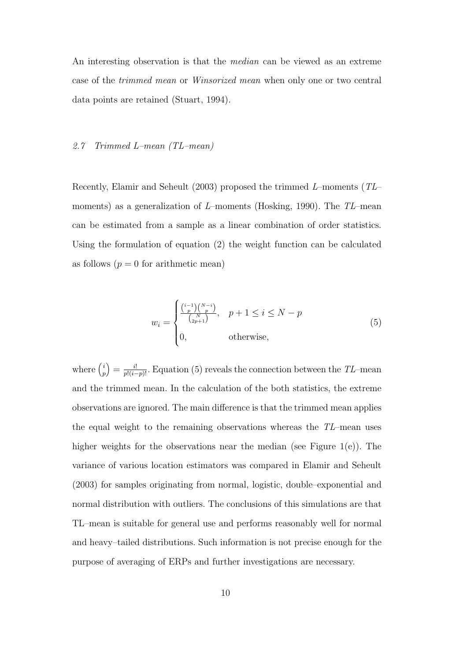An interesting observation is that the *median* can be viewed as an extreme case of the trimmed mean or Winsorized mean when only one or two central data points are retained (Stuart, 1994).

# 2.7 Trimmed L–mean (TL–mean)

Recently, Elamir and Seheult (2003) proposed the trimmed L–moments (TL– moments) as a generalization of L–moments (Hosking, 1990). The  $TL$ –mean can be estimated from a sample as a linear combination of order statistics. Using the formulation of equation (2) the weight function can be calculated as follows  $(p = 0$  for arithmetic mean)

$$
w_i = \begin{cases} \frac{\binom{i-1}{p}\binom{N-i}{p}}{\binom{N}{2p+1}}, & p+1 \leq i \leq N-p\\ 0, & \text{otherwise}, \end{cases}
$$
(5)

where  $\binom{i}{n}$  $\binom{i}{p} = \frac{i!}{p!(i-p)!}$ . Equation (5) reveals the connection between the TL–mean and the trimmed mean. In the calculation of the both statistics, the extreme observations are ignored. The main difference is that the trimmed mean applies the equal weight to the remaining observations whereas the  $TL$ –mean uses higher weights for the observations near the median (see Figure 1(e)). The variance of various location estimators was compared in Elamir and Seheult (2003) for samples originating from normal, logistic, double–exponential and normal distribution with outliers. The conclusions of this simulations are that TL–mean is suitable for general use and performs reasonably well for normal and heavy–tailed distributions. Such information is not precise enough for the purpose of averaging of ERPs and further investigations are necessary.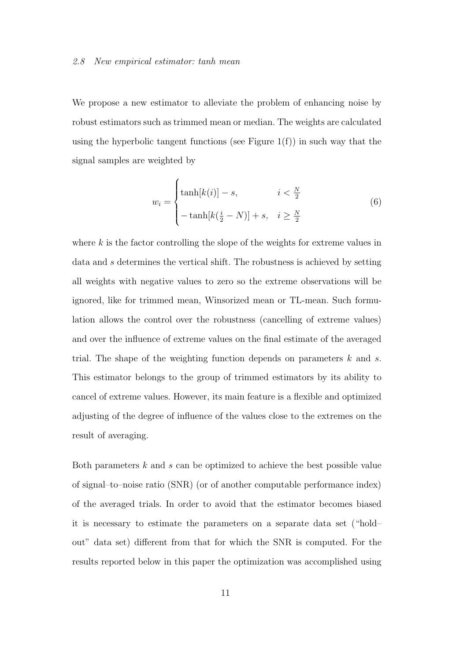#### 2.8 New empirical estimator: tanh mean

We propose a new estimator to alleviate the problem of enhancing noise by robust estimators such as trimmed mean or median. The weights are calculated using the hyperbolic tangent functions (see Figure  $1(f)$ ) in such way that the signal samples are weighted by

$$
w_i = \begin{cases} \tanh[k(i)] - s, & i < \frac{N}{2} \\ -\tanh[k(\frac{i}{2} - N)] + s, & i \ge \frac{N}{2} \end{cases}
$$
(6)

where  $k$  is the factor controlling the slope of the weights for extreme values in data and s determines the vertical shift. The robustness is achieved by setting all weights with negative values to zero so the extreme observations will be ignored, like for trimmed mean, Winsorized mean or TL-mean. Such formulation allows the control over the robustness (cancelling of extreme values) and over the influence of extreme values on the final estimate of the averaged trial. The shape of the weighting function depends on parameters  $k$  and  $s$ . This estimator belongs to the group of trimmed estimators by its ability to cancel of extreme values. However, its main feature is a flexible and optimized adjusting of the degree of influence of the values close to the extremes on the result of averaging.

Both parameters  $k$  and  $s$  can be optimized to achieve the best possible value of signal–to–noise ratio (SNR) (or of another computable performance index) of the averaged trials. In order to avoid that the estimator becomes biased it is necessary to estimate the parameters on a separate data set ("hold– out" data set) different from that for which the SNR is computed. For the results reported below in this paper the optimization was accomplished using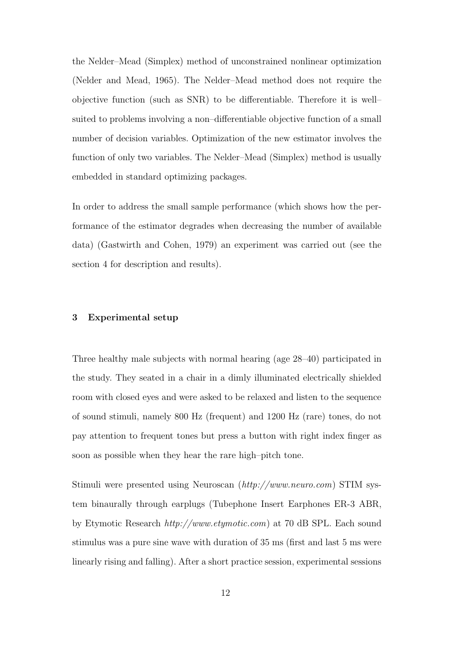the Nelder–Mead (Simplex) method of unconstrained nonlinear optimization (Nelder and Mead, 1965). The Nelder–Mead method does not require the objective function (such as SNR) to be differentiable. Therefore it is well– suited to problems involving a non–differentiable objective function of a small number of decision variables. Optimization of the new estimator involves the function of only two variables. The Nelder–Mead (Simplex) method is usually embedded in standard optimizing packages.

In order to address the small sample performance (which shows how the performance of the estimator degrades when decreasing the number of available data) (Gastwirth and Cohen, 1979) an experiment was carried out (see the section 4 for description and results).

# 3 Experimental setup

Three healthy male subjects with normal hearing (age 28–40) participated in the study. They seated in a chair in a dimly illuminated electrically shielded room with closed eyes and were asked to be relaxed and listen to the sequence of sound stimuli, namely 800 Hz (frequent) and 1200 Hz (rare) tones, do not pay attention to frequent tones but press a button with right index finger as soon as possible when they hear the rare high–pitch tone.

Stimuli were presented using Neuroscan (http://www.neuro.com) STIM system binaurally through earplugs (Tubephone Insert Earphones ER-3 ABR, by Etymotic Research http://www.etymotic.com) at 70 dB SPL. Each sound stimulus was a pure sine wave with duration of 35 ms (first and last 5 ms were linearly rising and falling). After a short practice session, experimental sessions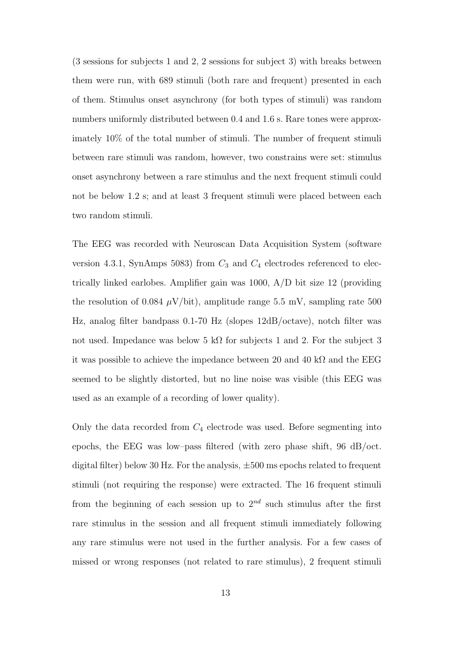(3 sessions for subjects 1 and 2, 2 sessions for subject 3) with breaks between them were run, with 689 stimuli (both rare and frequent) presented in each of them. Stimulus onset asynchrony (for both types of stimuli) was random numbers uniformly distributed between 0.4 and 1.6 s. Rare tones were approximately 10% of the total number of stimuli. The number of frequent stimuli between rare stimuli was random, however, two constrains were set: stimulus onset asynchrony between a rare stimulus and the next frequent stimuli could not be below 1.2 s; and at least 3 frequent stimuli were placed between each two random stimuli.

The EEG was recorded with Neuroscan Data Acquisition System (software version 4.3.1, SynAmps 5083) from  $C_3$  and  $C_4$  electrodes referenced to electrically linked earlobes. Amplifier gain was 1000, A/D bit size 12 (providing the resolution of 0.084  $\mu$ V/bit), amplitude range 5.5 mV, sampling rate 500 Hz, analog filter bandpass 0.1-70 Hz (slopes 12dB/octave), notch filter was not used. Impedance was below 5 kΩ for subjects 1 and 2. For the subject 3 it was possible to achieve the impedance between 20 and 40 k $\Omega$  and the EEG seemed to be slightly distorted, but no line noise was visible (this EEG was used as an example of a recording of lower quality).

Only the data recorded from  $C_4$  electrode was used. Before segmenting into epochs, the EEG was low–pass filtered (with zero phase shift, 96 dB/oct. digital filter) below 30 Hz. For the analysis,  $\pm 500$  ms epochs related to frequent stimuli (not requiring the response) were extracted. The 16 frequent stimuli from the beginning of each session up to  $2^{nd}$  such stimulus after the first rare stimulus in the session and all frequent stimuli immediately following any rare stimulus were not used in the further analysis. For a few cases of missed or wrong responses (not related to rare stimulus), 2 frequent stimuli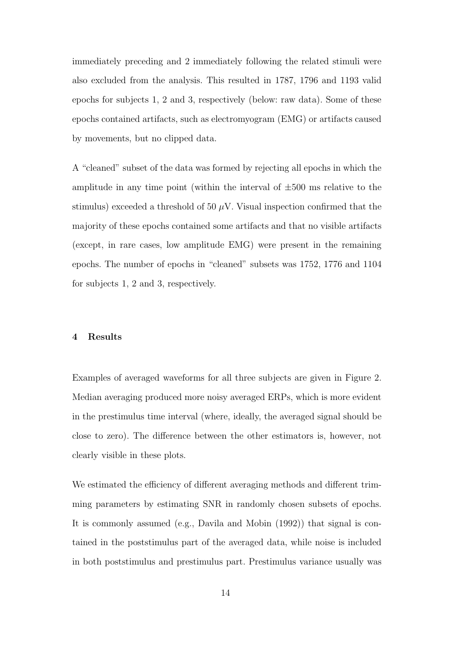immediately preceding and 2 immediately following the related stimuli were also excluded from the analysis. This resulted in 1787, 1796 and 1193 valid epochs for subjects 1, 2 and 3, respectively (below: raw data). Some of these epochs contained artifacts, such as electromyogram (EMG) or artifacts caused by movements, but no clipped data.

A "cleaned" subset of the data was formed by rejecting all epochs in which the amplitude in any time point (within the interval of  $\pm 500$  ms relative to the stimulus) exceeded a threshold of 50  $\mu$ V. Visual inspection confirmed that the majority of these epochs contained some artifacts and that no visible artifacts (except, in rare cases, low amplitude EMG) were present in the remaining epochs. The number of epochs in "cleaned" subsets was 1752, 1776 and 1104 for subjects 1, 2 and 3, respectively.

### 4 Results

Examples of averaged waveforms for all three subjects are given in Figure 2. Median averaging produced more noisy averaged ERPs, which is more evident in the prestimulus time interval (where, ideally, the averaged signal should be close to zero). The difference between the other estimators is, however, not clearly visible in these plots.

We estimated the efficiency of different averaging methods and different trimming parameters by estimating SNR in randomly chosen subsets of epochs. It is commonly assumed (e.g., Davila and Mobin (1992)) that signal is contained in the poststimulus part of the averaged data, while noise is included in both poststimulus and prestimulus part. Prestimulus variance usually was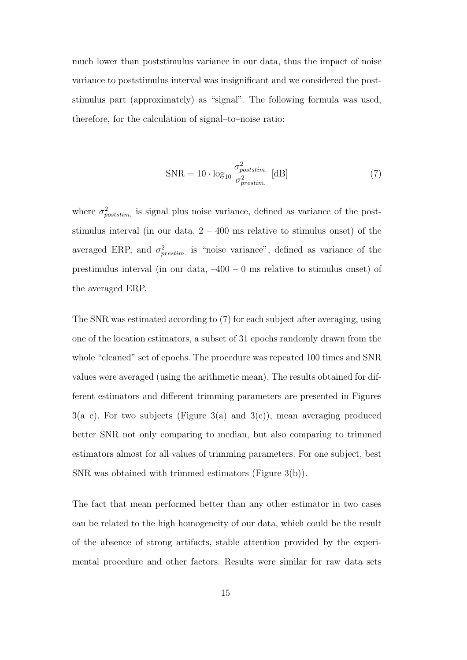much lower than poststimulus variance in our data, thus the impact of noise variance to poststimulus interval was insignificant and we considered the poststimulus part (approximately) as "signal". The following formula was used, therefore, for the calculation of signal–to–noise ratio:

$$
SNR = 10 \cdot \log_{10} \frac{\sigma_{poststim.}^2}{\sigma_{prestim.}^2} \text{ [dB]}
$$
 (7)

where  $\sigma_{poststim.}^2$  is signal plus noise variance, defined as variance of the poststimulus interval (in our data,  $2 - 400$  ms relative to stimulus onset) of the averaged ERP, and  $\sigma_{prestim.}^2$  is "noise variance", defined as variance of the prestimulus interval (in our data,  $-400 - 0$  ms relative to stimulus onset) of the averaged ERP.

The SNR was estimated according to (7) for each subject after averaging, using one of the location estimators, a subset of 31 epochs randomly drawn from the whole "cleaned" set of epochs. The procedure was repeated 100 times and SNR values were averaged (using the arithmetic mean). The results obtained for different estimators and different trimming parameters are presented in Figures  $3(a-c)$ . For two subjects (Figure 3(a) and  $3(c)$ ), mean averaging produced better SNR not only comparing to median, but also comparing to trimmed estimators almost for all values of trimming parameters. For one subject, best SNR was obtained with trimmed estimators (Figure 3(b)).

The fact that mean performed better than any other estimator in two cases can be related to the high homogeneity of our data, which could be the result of the absence of strong artifacts, stable attention provided by the experimental procedure and other factors. Results were similar for raw data sets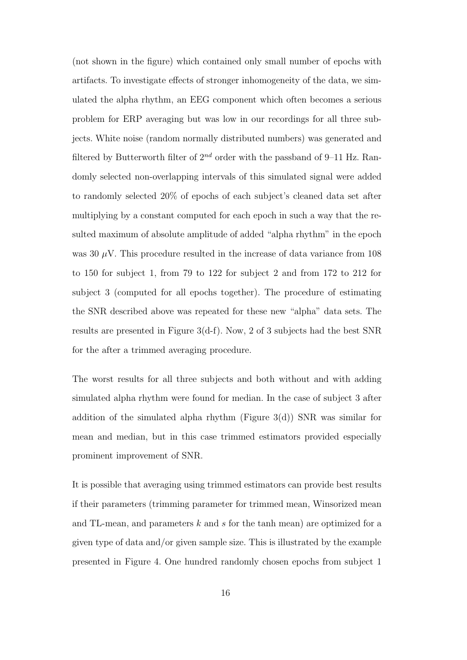(not shown in the figure) which contained only small number of epochs with artifacts. To investigate effects of stronger inhomogeneity of the data, we simulated the alpha rhythm, an EEG component which often becomes a serious problem for ERP averaging but was low in our recordings for all three subjects. White noise (random normally distributed numbers) was generated and filtered by Butterworth filter of  $2^{nd}$  order with the passband of 9–11 Hz. Randomly selected non-overlapping intervals of this simulated signal were added to randomly selected 20% of epochs of each subject's cleaned data set after multiplying by a constant computed for each epoch in such a way that the resulted maximum of absolute amplitude of added "alpha rhythm" in the epoch was 30  $\mu$ V. This procedure resulted in the increase of data variance from 108 to 150 for subject 1, from 79 to 122 for subject 2 and from 172 to 212 for subject 3 (computed for all epochs together). The procedure of estimating the SNR described above was repeated for these new "alpha" data sets. The results are presented in Figure 3(d-f). Now, 2 of 3 subjects had the best SNR for the after a trimmed averaging procedure.

The worst results for all three subjects and both without and with adding simulated alpha rhythm were found for median. In the case of subject 3 after addition of the simulated alpha rhythm (Figure 3(d)) SNR was similar for mean and median, but in this case trimmed estimators provided especially prominent improvement of SNR.

It is possible that averaging using trimmed estimators can provide best results if their parameters (trimming parameter for trimmed mean, Winsorized mean and TL-mean, and parameters k and s for the tanh mean) are optimized for a given type of data and/or given sample size. This is illustrated by the example presented in Figure 4. One hundred randomly chosen epochs from subject 1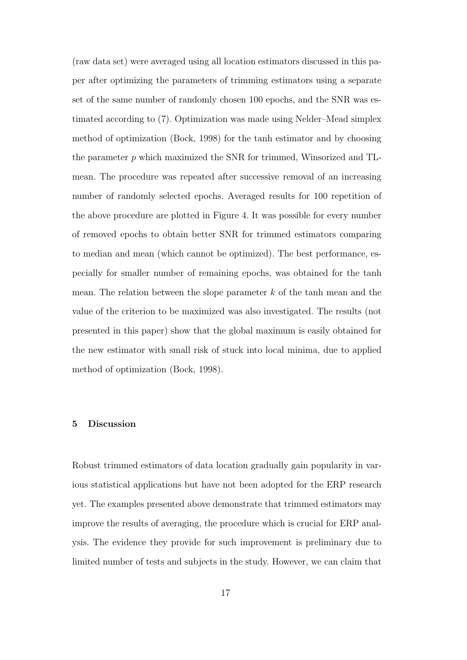(raw data set) were averaged using all location estimators discussed in this paper after optimizing the parameters of trimming estimators using a separate set of the same number of randomly chosen 100 epochs, and the SNR was estimated according to (7). Optimization was made using Nelder–Mead simplex method of optimization (Bock, 1998) for the tanh estimator and by choosing the parameter p which maximized the SNR for trimmed, Winsorized and TLmean. The procedure was repeated after successive removal of an increasing number of randomly selected epochs. Averaged results for 100 repetition of the above procedure are plotted in Figure 4. It was possible for every number of removed epochs to obtain better SNR for trimmed estimators comparing to median and mean (which cannot be optimized). The best performance, especially for smaller number of remaining epochs, was obtained for the tanh mean. The relation between the slope parameter  $k$  of the tanh mean and the value of the criterion to be maximized was also investigated. The results (not presented in this paper) show that the global maximum is easily obtained for the new estimator with small risk of stuck into local minima, due to applied method of optimization (Bock, 1998).

# 5 Discussion

Robust trimmed estimators of data location gradually gain popularity in various statistical applications but have not been adopted for the ERP research yet. The examples presented above demonstrate that trimmed estimators may improve the results of averaging, the procedure which is crucial for ERP analysis. The evidence they provide for such improvement is preliminary due to limited number of tests and subjects in the study. However, we can claim that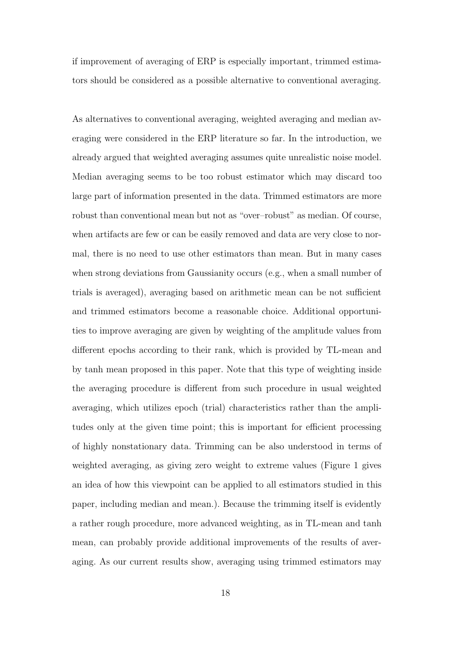if improvement of averaging of ERP is especially important, trimmed estimators should be considered as a possible alternative to conventional averaging.

As alternatives to conventional averaging, weighted averaging and median averaging were considered in the ERP literature so far. In the introduction, we already argued that weighted averaging assumes quite unrealistic noise model. Median averaging seems to be too robust estimator which may discard too large part of information presented in the data. Trimmed estimators are more robust than conventional mean but not as "over–robust" as median. Of course, when artifacts are few or can be easily removed and data are very close to normal, there is no need to use other estimators than mean. But in many cases when strong deviations from Gaussianity occurs (e.g., when a small number of trials is averaged), averaging based on arithmetic mean can be not sufficient and trimmed estimators become a reasonable choice. Additional opportunities to improve averaging are given by weighting of the amplitude values from different epochs according to their rank, which is provided by TL-mean and by tanh mean proposed in this paper. Note that this type of weighting inside the averaging procedure is different from such procedure in usual weighted averaging, which utilizes epoch (trial) characteristics rather than the amplitudes only at the given time point; this is important for efficient processing of highly nonstationary data. Trimming can be also understood in terms of weighted averaging, as giving zero weight to extreme values (Figure 1 gives an idea of how this viewpoint can be applied to all estimators studied in this paper, including median and mean.). Because the trimming itself is evidently a rather rough procedure, more advanced weighting, as in TL-mean and tanh mean, can probably provide additional improvements of the results of averaging. As our current results show, averaging using trimmed estimators may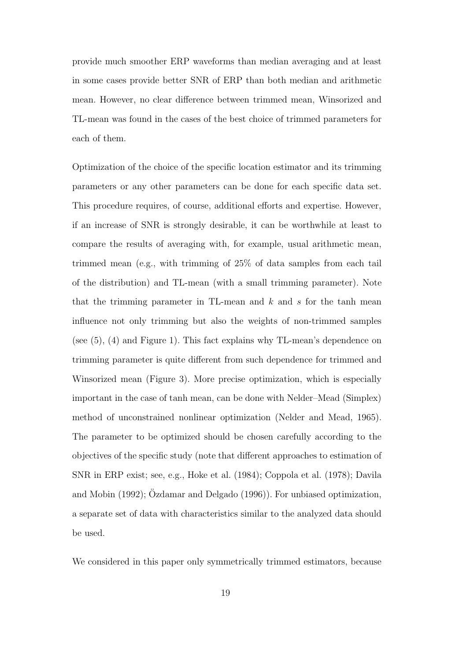provide much smoother ERP waveforms than median averaging and at least in some cases provide better SNR of ERP than both median and arithmetic mean. However, no clear difference between trimmed mean, Winsorized and TL-mean was found in the cases of the best choice of trimmed parameters for each of them.

Optimization of the choice of the specific location estimator and its trimming parameters or any other parameters can be done for each specific data set. This procedure requires, of course, additional efforts and expertise. However, if an increase of SNR is strongly desirable, it can be worthwhile at least to compare the results of averaging with, for example, usual arithmetic mean, trimmed mean (e.g., with trimming of 25% of data samples from each tail of the distribution) and TL-mean (with a small trimming parameter). Note that the trimming parameter in TL-mean and  $k$  and  $s$  for the tanh mean influence not only trimming but also the weights of non-trimmed samples (see (5), (4) and Figure 1). This fact explains why TL-mean's dependence on trimming parameter is quite different from such dependence for trimmed and Winsorized mean (Figure 3). More precise optimization, which is especially important in the case of tanh mean, can be done with Nelder–Mead (Simplex) method of unconstrained nonlinear optimization (Nelder and Mead, 1965). The parameter to be optimized should be chosen carefully according to the objectives of the specific study (note that different approaches to estimation of SNR in ERP exist; see, e.g., Hoke et al. (1984); Coppola et al. (1978); Davila and Mobin  $(1992)$ ;  $Oz$ damar and Delgado  $(1996)$ ). For unbiased optimization, a separate set of data with characteristics similar to the analyzed data should be used.

We considered in this paper only symmetrically trimmed estimators, because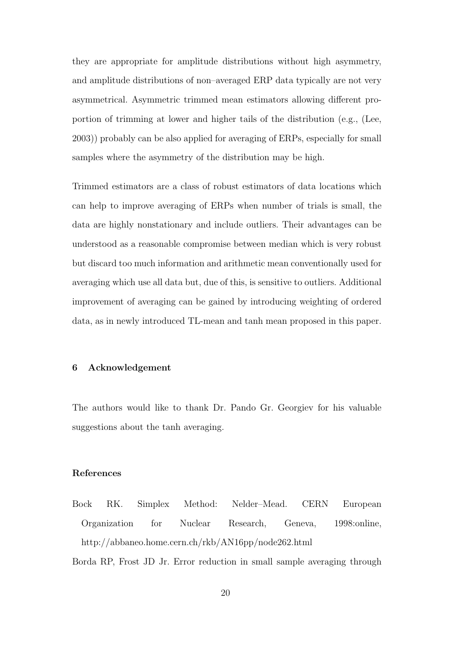they are appropriate for amplitude distributions without high asymmetry, and amplitude distributions of non–averaged ERP data typically are not very asymmetrical. Asymmetric trimmed mean estimators allowing different proportion of trimming at lower and higher tails of the distribution (e.g., (Lee, 2003)) probably can be also applied for averaging of ERPs, especially for small samples where the asymmetry of the distribution may be high.

Trimmed estimators are a class of robust estimators of data locations which can help to improve averaging of ERPs when number of trials is small, the data are highly nonstationary and include outliers. Their advantages can be understood as a reasonable compromise between median which is very robust but discard too much information and arithmetic mean conventionally used for averaging which use all data but, due of this, is sensitive to outliers. Additional improvement of averaging can be gained by introducing weighting of ordered data, as in newly introduced TL-mean and tanh mean proposed in this paper.

# 6 Acknowledgement

The authors would like to thank Dr. Pando Gr. Georgiev for his valuable suggestions about the tanh averaging.

# References

Bock RK. Simplex Method: Nelder–Mead. CERN European Organization for Nuclear Research, Geneva, 1998:online, http://abbaneo.home.cern.ch/rkb/AN16pp/node262.html

Borda RP, Frost JD Jr. Error reduction in small sample averaging through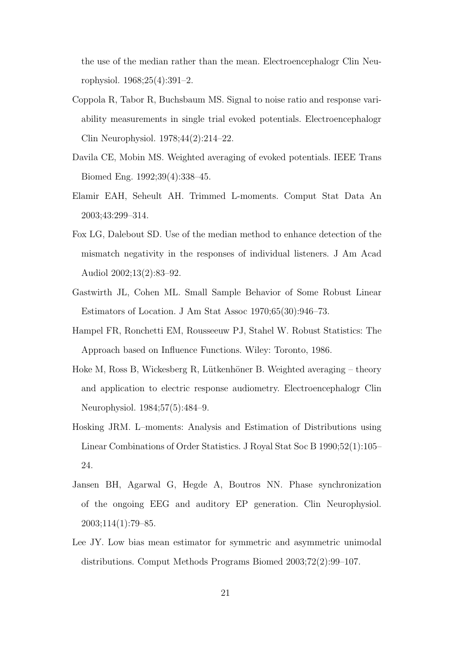the use of the median rather than the mean. Electroencephalogr Clin Neurophysiol. 1968;25(4):391–2.

- Coppola R, Tabor R, Buchsbaum MS. Signal to noise ratio and response variability measurements in single trial evoked potentials. Electroencephalogr Clin Neurophysiol. 1978;44(2):214–22.
- Davila CE, Mobin MS. Weighted averaging of evoked potentials. IEEE Trans Biomed Eng. 1992;39(4):338–45.
- Elamir EAH, Seheult AH. Trimmed L-moments. Comput Stat Data An 2003;43:299–314.
- Fox LG, Dalebout SD. Use of the median method to enhance detection of the mismatch negativity in the responses of individual listeners. J Am Acad Audiol 2002;13(2):83–92.
- Gastwirth JL, Cohen ML. Small Sample Behavior of Some Robust Linear Estimators of Location. J Am Stat Assoc 1970;65(30):946–73.
- Hampel FR, Ronchetti EM, Rousseeuw PJ, Stahel W. Robust Statistics: The Approach based on Influence Functions. Wiley: Toronto, 1986.
- Hoke M, Ross B, Wickesberg R, Lütkenhöner B. Weighted averaging theory and application to electric response audiometry. Electroencephalogr Clin Neurophysiol. 1984;57(5):484–9.
- Hosking JRM. L–moments: Analysis and Estimation of Distributions using Linear Combinations of Order Statistics. J Royal Stat Soc B 1990;52(1):105– 24.
- Jansen BH, Agarwal G, Hegde A, Boutros NN. Phase synchronization of the ongoing EEG and auditory EP generation. Clin Neurophysiol. 2003;114(1):79–85.
- Lee JY. Low bias mean estimator for symmetric and asymmetric unimodal distributions. Comput Methods Programs Biomed 2003;72(2):99–107.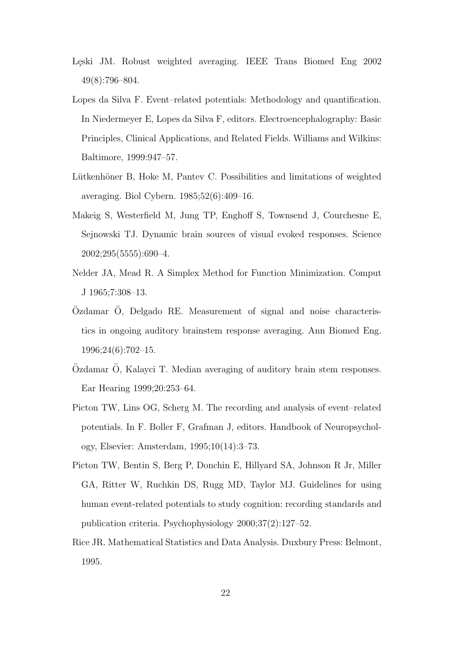- Leski JM. Robust weighted averaging. IEEE Trans Biomed Eng 2002 49(8):796–804.
- Lopes da Silva F. Event–related potentials: Methodology and quantification. In Niedermeyer E, Lopes da Silva F, editors. Electroencephalography: Basic Principles, Clinical Applications, and Related Fields. Williams and Wilkins: Baltimore, 1999:947–57.
- Lütkenhöner B, Hoke M, Pantev C. Possibilities and limitations of weighted averaging. Biol Cybern. 1985;52(6):409–16.
- Makeig S, Westerfield M, Jung TP, Enghoff S, Townsend J, Courchesne E, Sejnowski TJ. Dynamic brain sources of visual evoked responses. Science 2002;295(5555):690–4.
- Nelder JA, Mead R. A Simplex Method for Function Minimization. Comput J 1965;7:308–13.
- Ozdamar O, Delgado RE. Measurement of signal and noise characteristics in ongoing auditory brainstem response averaging. Ann Biomed Eng. 1996;24(6):702–15.
- $\ddot{O}z$ damar  $\ddot{O}$ , Kalayci T. Median averaging of auditory brain stem responses. Ear Hearing 1999;20:253–64.
- Picton TW, Lins OG, Scherg M. The recording and analysis of event–related potentials. In F. Boller F, Grafman J, editors. Handbook of Neuropsychology, Elsevier: Amsterdam, 1995;10(14):3–73.
- Picton TW, Bentin S, Berg P, Donchin E, Hillyard SA, Johnson R Jr, Miller GA, Ritter W, Ruchkin DS, Rugg MD, Taylor MJ. Guidelines for using human event-related potentials to study cognition: recording standards and publication criteria. Psychophysiology 2000;37(2):127–52.
- Rice JR. Mathematical Statistics and Data Analysis. Duxbury Press: Belmont, 1995.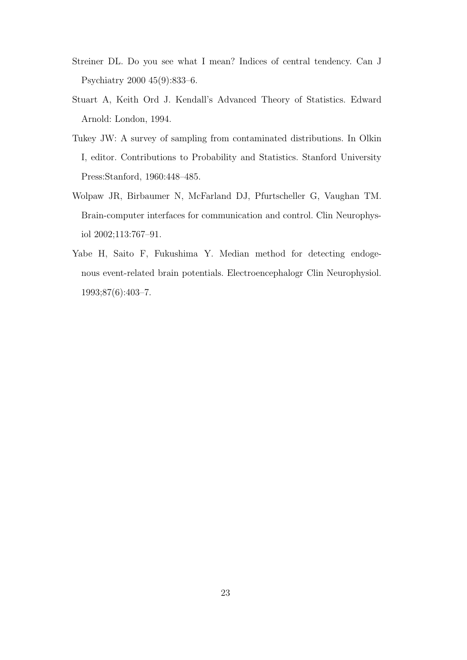- Streiner DL. Do you see what I mean? Indices of central tendency. Can J Psychiatry 2000 45(9):833–6.
- Stuart A, Keith Ord J. Kendall's Advanced Theory of Statistics. Edward Arnold: London, 1994.
- Tukey JW: A survey of sampling from contaminated distributions. In Olkin I, editor. Contributions to Probability and Statistics. Stanford University Press:Stanford, 1960:448–485.
- Wolpaw JR, Birbaumer N, McFarland DJ, Pfurtscheller G, Vaughan TM. Brain-computer interfaces for communication and control. Clin Neurophysiol 2002;113:767–91.
- Yabe H, Saito F, Fukushima Y. Median method for detecting endogenous event-related brain potentials. Electroencephalogr Clin Neurophysiol. 1993;87(6):403–7.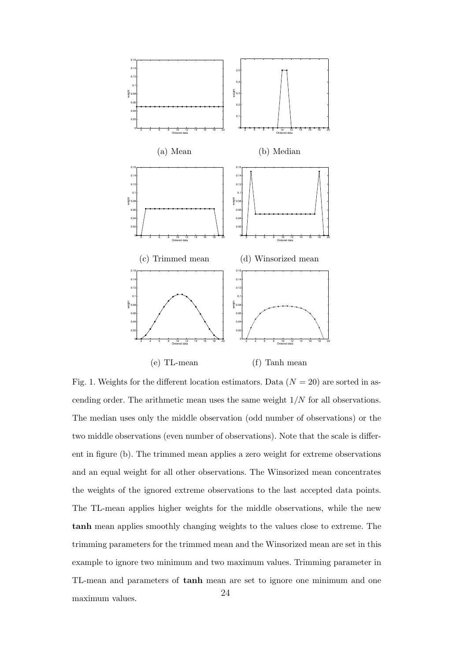

Fig. 1. Weights for the different location estimators. Data  $(N = 20)$  are sorted in ascending order. The arithmetic mean uses the same weight  $1/N$  for all observations. The median uses only the middle observation (odd number of observations) or the two middle observations (even number of observations). Note that the scale is different in figure (b). The trimmed mean applies a zero weight for extreme observations and an equal weight for all other observations. The Winsorized mean concentrates the weights of the ignored extreme observations to the last accepted data points. The TL-mean applies higher weights for the middle observations, while the new tanh mean applies smoothly changing weights to the values close to extreme. The trimming parameters for the trimmed mean and the Winsorized mean are set in this example to ignore two minimum and two maximum values. Trimming parameter in TL-mean and parameters of tanh mean are set to ignore one minimum and one maximum values. <sup>24</sup>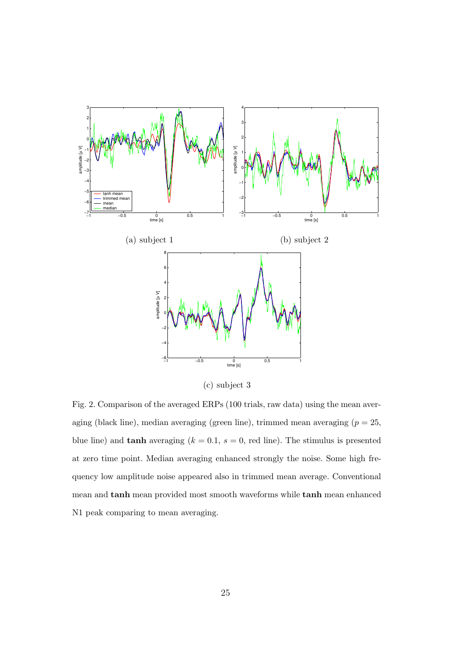

(c) subject 3

Fig. 2. Comparison of the averaged ERPs (100 trials, raw data) using the mean averaging (black line), median averaging (green line), trimmed mean averaging  $(p = 25,$ blue line) and **tanh** averaging  $(k = 0.1, s = 0, \text{ red line})$ . The stimulus is presented at zero time point. Median averaging enhanced strongly the noise. Some high frequency low amplitude noise appeared also in trimmed mean average. Conventional mean and tanh mean provided most smooth waveforms while tanh mean enhanced N1 peak comparing to mean averaging.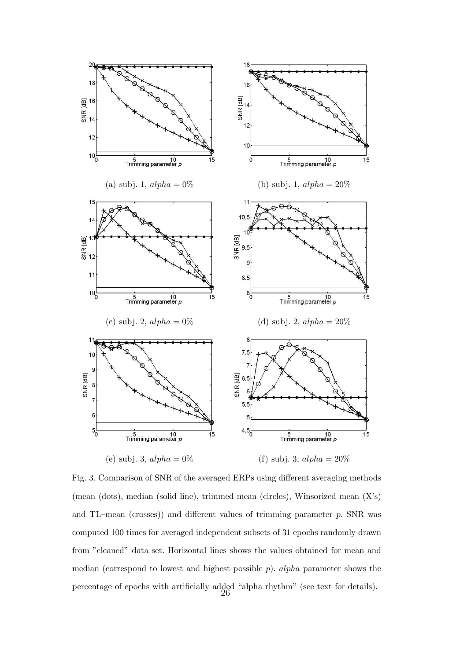

Fig. 3. Comparison of SNR of the averaged ERPs using different averaging methods (mean (dots), median (solid line), trimmed mean (circles), Winsorized mean (X's) and TL–mean (crosses)) and different values of trimming parameter p. SNR was computed 100 times for averaged independent subsets of 31 epochs randomly drawn from "cleaned" data set. Horizontal lines shows the values obtained for mean and median (correspond to lowest and highest possible  $p$ ). *alpha* parameter shows the percentage of epochs with artificially added "alpha rhythm" (see text for details). 26